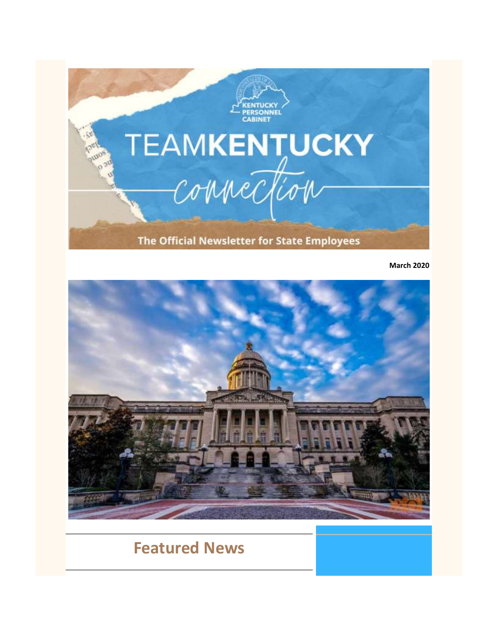

**March 2020**



# **Featured News**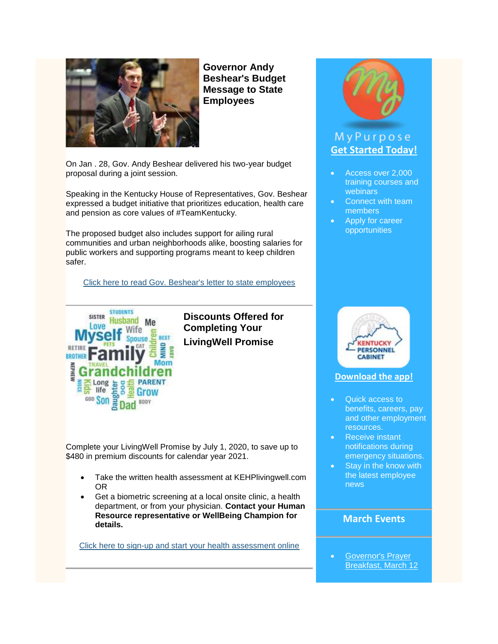

**Governor Andy Beshear's Budget Message to State Employees**

On Jan . 28, Gov. Andy Beshear delivered his two-year budget proposal during a joint session.

Speaking in the Kentucky House of Representatives, Gov. Beshear expressed a budget initiative that prioritizes education, health care and pension as core values of #TeamKentucky.

The proposed budget also includes support for ailing rural communities and urban neighborhoods alike, boosting salaries for public workers and supporting programs meant to keep children safer.

[Click here to read Gov. Beshear's letter to state employees](https://personnel.ky.gov/Documents/Gov-Beshear-Letter-to-State-Employees.pdf)



**Discounts Offered for Completing Your LivingWell Promise**

Complete your LivingWell Promise by July 1, 2020, to save up to \$480 in premium discounts for calendar year 2021.

- Take the written health assessment at KEHPlivingwell.com OR
- Get a biometric screening at a local onsite clinic, a health department, or from your physician. **Contact your Human Resource representative or WellBeing Champion for details.**

[Click here to sign-up and start your health assessment online](https://www.kehplivingwell.com/)



# MyPurpose **[Get Started Today!](https://mypurpose.ky.gov/)**

- Access over 2,000 training courses and webinars
- Connect with team members
- Apply for career opportunities



#### **[Download the app!](https://youtu.be/HJ3xwpwmDf4)**

- Quick access to benefits, careers, pay and other employment resources.
- Receive instant notifications during emergency situations.
- Stay in the know with the latest employee news

### **March Events**

 [Governor's Prayer](https://personnel.ky.gov/Documents/Prayer%20Breakfast.JPG)  [Breakfast, March 12](https://personnel.ky.gov/Documents/Prayer%20Breakfast.JPG)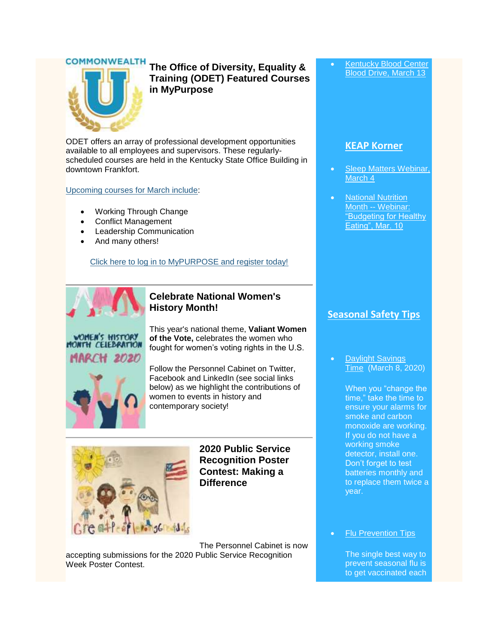**COMMONWEALTH** 



**The Office of Diversity, Equality & Training (ODET) Featured Courses in MyPurpose**

ODET offers an array of professional development opportunities available to all employees and supervisors. These regularlyscheduled courses are held in the Kentucky State Office Building in downtown Frankfort.

[Upcoming courses for March include:](https://personnel.ky.gov/Pages/CourseCalendar.aspx)

- Working Through Change
- Conflict Management
- Leadership Communication
- And many others!

[Click here to log in to MyPURPOSE and register today!](https://mypurpose.ky.gov/)



#### **Celebrate National Women's History Month!**

WOMEN'S HISTORY H CELEBRATION **H 2020** 

This year's national theme, **Valiant Women of the Vote,** celebrates the women who fought for women's voting rights in the U.S.



Follow the Personnel Cabinet on Twitter, Facebook and LinkedIn (see social links below) as we highlight the contributions of women to events in history and contemporary society!



**2020 Public Service Recognition Poster Contest: Making a Difference**

The Personnel Cabinet is now accepting submissions for the 2020 Public Service Recognition Week Poster Contest.

 [Kentucky Blood Center](https://personnel.ky.gov/Lists/CalendarOfEvents/DispForm.aspx?ID=363&Source=https%3A%2F%2Fpersonnel%2Eky%2Egov%2FPages%2Femployeeevents%2Easpx)  [Blood Drive, March 13](https://personnel.ky.gov/Lists/CalendarOfEvents/DispForm.aspx?ID=363&Source=https%3A%2F%2Fpersonnel%2Eky%2Egov%2FPages%2Femployeeevents%2Easpx)

#### **[KEAP Korner](https://personnel.ky.gov/Pages/CourseCalendar.aspx)**

- [Sleep Matters Webinar,](https://personnel.ky.gov/Lists/CalendarOfEvents/DispForm.aspx?ID=345&Source=https%3A%2F%2Fpersonnel%2Eky%2Egov%2FPages%2Femployeeevents%2Easpx)  [March 4](https://personnel.ky.gov/Lists/CalendarOfEvents/DispForm.aspx?ID=345&Source=https%3A%2F%2Fpersonnel%2Eky%2Egov%2FPages%2Femployeeevents%2Easpx)
- **National Nutrition** Month -- [Webinar:](https://personnel.ky.gov/Lists/CalendarOfEvents/DispForm.aspx?ID=344&Source=https%3A%2F%2Fpersonnel%2Eky%2Egov%2FPages%2Femployeeevents%2Easpx)  ["Budgeting for Healthy](https://personnel.ky.gov/Lists/CalendarOfEvents/DispForm.aspx?ID=344&Source=https%3A%2F%2Fpersonnel%2Eky%2Egov%2FPages%2Femployeeevents%2Easpx)  [Eating", Mar. 10](https://personnel.ky.gov/Lists/CalendarOfEvents/DispForm.aspx?ID=344&Source=https%3A%2F%2Fpersonnel%2Eky%2Egov%2FPages%2Femployeeevents%2Easpx)

### **Seasonal Safety Tips**

 Daylight Savings Time (March 8, 2020)

> When you "change the time," take the time to ensure your alarms for smoke and carbon monoxide are working. If you do not have a working smoke detector, install one. Don't forget to test batteries monthly and to replace them twice a year.

#### Flu Prevention Tips

The single best way to prevent seasonal flu is to get vaccinated each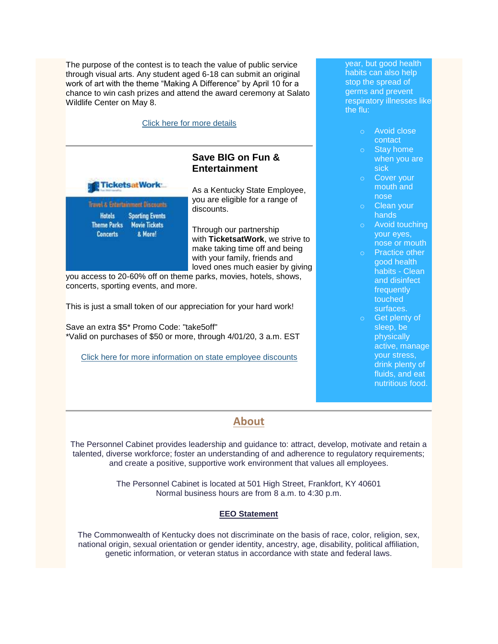The purpose of the contest is to teach the value of public service through visual arts. Any student aged 6-18 can submit an original work of art with the theme "Making A Difference" by April 10 for a chance to win cash prizes and attend the award ceremony at Salato Wildlife Center on May 8.

| Click here for more details                                                 |                                                                                                     |
|-----------------------------------------------------------------------------|-----------------------------------------------------------------------------------------------------|
|                                                                             | Save BIG on Fun &<br><b>Entertainment</b>                                                           |
| <b>TicketsatWork:</b>                                                       | As a Kentucky State Employee,                                                                       |
| Travel & Entertainment Discounts<br><b>Hotels</b><br><b>Sporting Events</b> | you are eligible for a range of<br>discounts.                                                       |
| <b>Theme Parks Movie Tickets</b><br>& More!<br><b>Concerts</b>              | Through our partnership<br>with TicketsatWork, we strive to                                         |
|                                                                             | make taking time off and being<br>with your family, friends and<br>loved ones much easier by giving |

you access to 20-60% off on theme parks, movies, hotels, shows, concerts, sporting events, and more.

This is just a small token of our appreciation for your hard work!

Save an extra \$5\* Promo Code: "take5off" \*Valid on purchases of \$50 or more, through 4/01/20, 3 a.m. EST

[Click here for more information on state employee discounts](https://personnel.ky.gov/Pages/Discounts.aspx)

year, but good health habits can also help stop the spread of germs and prevent respiratory illnesses like the flu:

- o Avoid close contact
- o Stay home when you are sick
- o Cover your mouth and nose
- o Clean your hands
- o Avoid touching your eyes, nose or mouth
- o Practice other good health habits - Clean and disinfect **frequently** touched surfaces.
- Get plenty of sleep, be physically active, manage your stress, drink plenty of fluids, and eat nutritious food.

# **About**

The Personnel Cabinet provides leadership and guidance to: attract, develop, motivate and retain a talented, diverse workforce; foster an understanding of and adherence to regulatory requirements; and create a positive, supportive work environment that values all employees.

> The Personnel Cabinet is located at 501 High Street, Frankfort, KY 40601 Normal business hours are from 8 a.m. to 4:30 p.m.

#### **EEO Statement**

The Commonwealth of Kentucky does not discriminate on the basis of race, color, religion, sex, national origin, sexual orientation or gender identity, ancestry, age, disability, political affiliation, genetic information, or veteran status in accordance with state and federal laws.